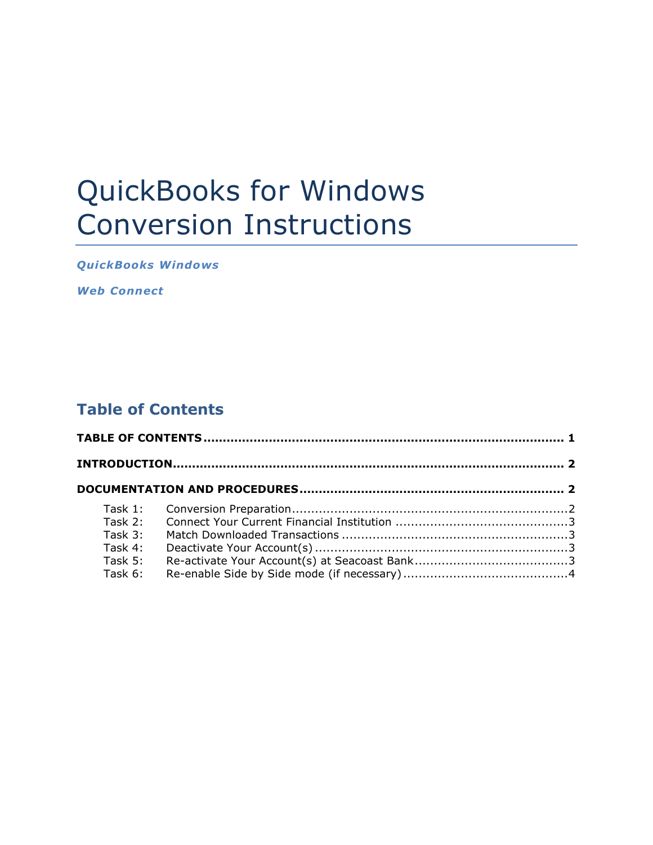# QuickBooks for Windows Conversion Instructions

**QuickBooks Windows** 

*Web Connect*

## **Table of Contents**

| Task $2:$ |  |  |  |
|-----------|--|--|--|
| Task $3:$ |  |  |  |
| Task 4:   |  |  |  |
| Task $5:$ |  |  |  |
| Task 6:   |  |  |  |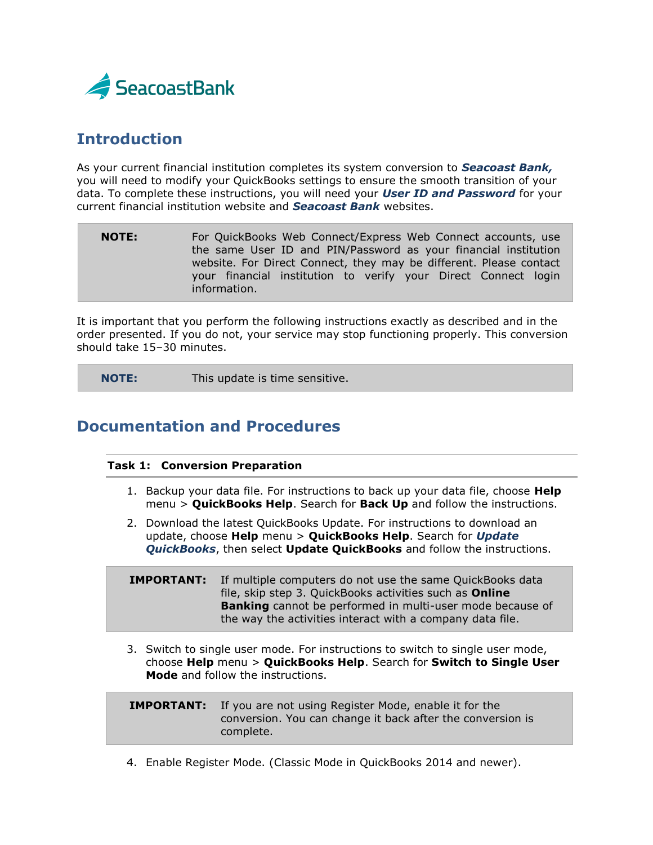

## **Introduction**

As your current financial institution completes its system conversion to *Seacoast Bank,* you will need to modify your QuickBooks settings to ensure the smooth transition of your data. To complete these instructions, you will need your *User ID and Password* for your current financial institution website and *Seacoast Bank* websites.

**NOTE:** For QuickBooks Web Connect/Express Web Connect accounts, use the same User ID and PIN/Password as your financial institution website. For Direct Connect, they may be different. Please contact your financial institution to verify your Direct Connect login information.

It is important that you perform the following instructions exactly as described and in the order presented. If you do not, your service may stop functioning properly. This conversion should take 15–30 minutes.

**NOTE:** This update is time sensitive.

### **Documentation and Procedures**

#### **Task 1: Conversion Preparation**

- 1. Backup your data file. For instructions to back up your data file, choose **Help** menu > **QuickBooks Help**. Search for **Back Up** and follow the instructions.
- 2. Download the latest QuickBooks Update. For instructions to download an update, choose **Help** menu > **QuickBooks Help**. Search for *Update QuickBooks*, then select **Update QuickBooks** and follow the instructions.

**IMPORTANT:** If multiple computers do not use the same QuickBooks data file, skip step 3. QuickBooks activities such as **Online Banking** cannot be performed in multi-user mode because of the way the activities interact with a company data file.

3. Switch to single user mode. For instructions to switch to single user mode, choose **Help** menu > **QuickBooks Help**. Search for **Switch to Single User Mode** and follow the instructions.

| <b>IMPORTANT:</b> If you are not using Register Mode, enable it for the |
|-------------------------------------------------------------------------|
| conversion. You can change it back after the conversion is              |
| complete.                                                               |

4. Enable Register Mode. (Classic Mode in QuickBooks 2014 and newer).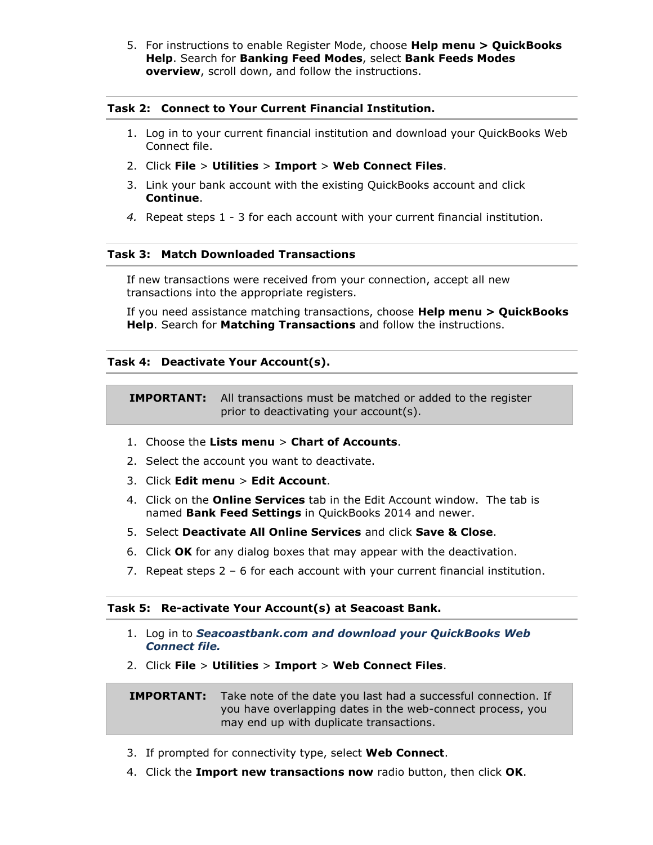5. For instructions to enable Register Mode, choose **Help menu > QuickBooks Help**. Search for **Banking Feed Modes**, select **Bank Feeds Modes overview**, scroll down, and follow the instructions.

#### **Task 2: Connect to Your Current Financial Institution.**

- 1. Log in to your current financial institution and download your QuickBooks Web Connect file.
- 2. Click **File** > **Utilities** > **Import** > **Web Connect Files**.
- 3. Link your bank account with the existing QuickBooks account and click **Continue**.
- *4.* Repeat steps 1 3 for each account with your current financial institution.

#### **Task 3: Match Downloaded Transactions**

If new transactions were received from your connection, accept all new transactions into the appropriate registers.

If you need assistance matching transactions, choose **Help menu > QuickBooks Help**. Search for **Matching Transactions** and follow the instructions.

#### **Task 4: Deactivate Your Account(s).**

**IMPORTANT:** All transactions must be matched or added to the register prior to deactivating your account(s).

- 1. Choose the **Lists menu** > **Chart of Accounts**.
- 2. Select the account you want to deactivate.
- 3. Click **Edit menu** > **Edit Account**.
- 4. Click on the **Online Services** tab in the Edit Account window. The tab is named **Bank Feed Settings** in QuickBooks 2014 and newer.
- 5. Select **Deactivate All Online Services** and click **Save & Close**.
- 6. Click **OK** for any dialog boxes that may appear with the deactivation.
- 7. Repeat steps 2 6 for each account with your current financial institution.

#### **Task 5: Re-activate Your Account(s) at Seacoast Bank.**

- 1. Log in to *Seacoastbank.com and download your QuickBooks Web Connect file.*
- 2. Click **File** > **Utilities** > **Import** > **Web Connect Files**.

**IMPORTANT:** Take note of the date you last had a successful connection. If you have overlapping dates in the web-connect process, you may end up with duplicate transactions.

- 3. If prompted for connectivity type, select **Web Connect**.
- 4. Click the **Import new transactions now** radio button, then click **OK**.